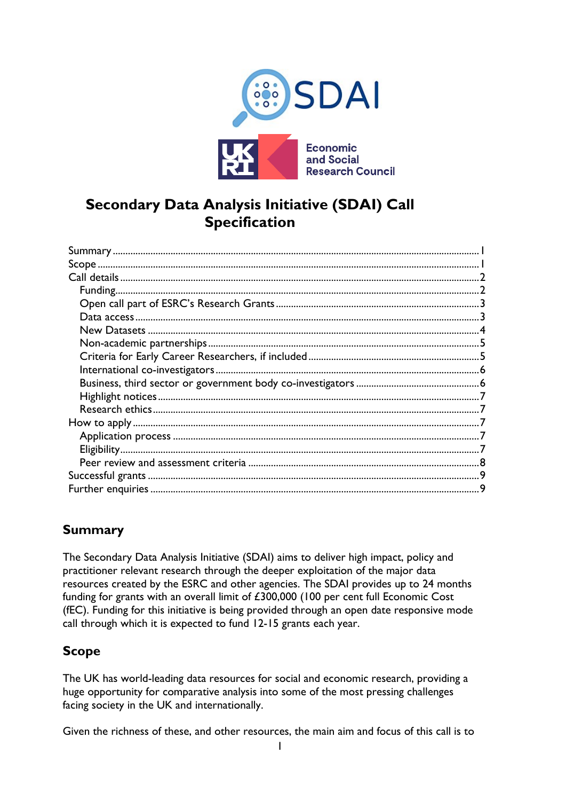

# **Secondary Data Analysis Initiative (SDAI) Call Specification**

## <span id="page-0-0"></span>**Summary**

The Secondary Data Analysis Initiative (SDAI) aims to deliver high impact, policy and practitioner relevant research through the deeper exploitation of the major data resources created by the ESRC and other agencies. The SDAI provides up to 24 months funding for grants with an overall limit of £300,000 (100 per cent full Economic Cost (fEC). Funding for this initiative is being provided through an open date responsive mode call through which it is expected to fund 12-15 grants each year.

## <span id="page-0-1"></span>**Scope**

The UK has world-leading data resources for social and economic research, providing a huge opportunity for comparative analysis into some of the most pressing challenges facing society in the UK and internationally.

Given the richness of these, and other resources, the main aim and focus of this call is to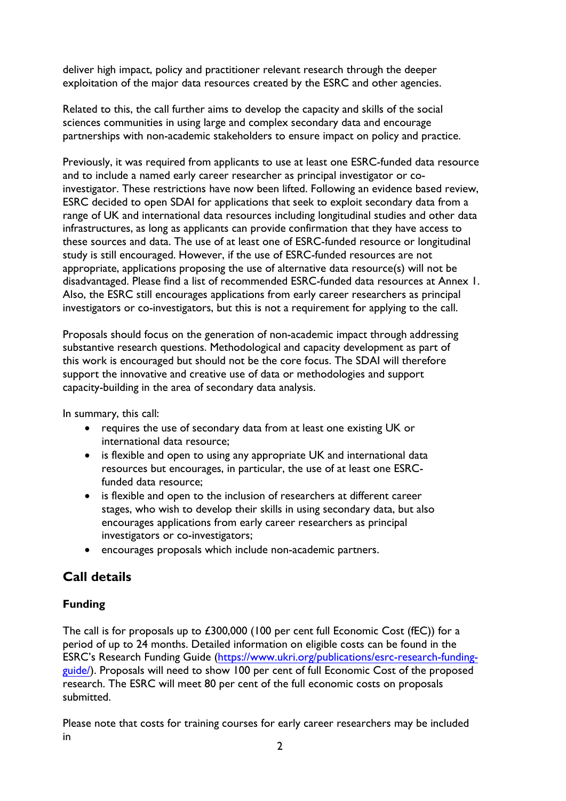deliver high impact, policy and practitioner relevant research through the deeper exploitation of the major data resources created by the ESRC and other agencies.

Related to this, the call further aims to develop the capacity and skills of the social sciences communities in using large and complex secondary data and encourage partnerships with non-academic stakeholders to ensure impact on policy and practice.

Previously, it was required from applicants to use at least one ESRC-funded data resource and to include a named early career researcher as principal investigator or coinvestigator. These restrictions have now been lifted. Following an evidence based review, ESRC decided to open SDAI for applications that seek to exploit secondary data from a range of UK and international data resources including longitudinal studies and other data infrastructures, as long as applicants can provide confirmation that they have access to these sources and data. The use of at least one of ESRC-funded resource or longitudinal study is still encouraged. However, if the use of ESRC-funded resources are not appropriate, applications proposing the use of alternative data resource(s) will not be disadvantaged. Please find a list of recommended ESRC-funded data resources at Annex 1. Also, the ESRC still encourages applications from early career researchers as principal investigators or co-investigators, but this is not a requirement for applying to the call.

Proposals should focus on the generation of non-academic impact through addressing substantive research questions. Methodological and capacity development as part of this work is encouraged but should not be the core focus. The SDAI will therefore support the innovative and creative use of data or methodologies and support capacity-building in the area of secondary data analysis.

In summary, this call:

- requires the use of secondary data from at least one existing UK or international data resource;
- is flexible and open to using any appropriate UK and international data resources but encourages, in particular, the use of at least one ESRCfunded data resource;
- is flexible and open to the inclusion of researchers at different career stages, who wish to develop their skills in using secondary data, but also encourages applications from early career researchers as principal investigators or co-investigators;
- encourages proposals which include non-academic partners.

## <span id="page-1-0"></span>**Call details**

## <span id="page-1-1"></span>**Funding**

The call is for proposals up to £300,000 (100 per cent full Economic Cost (fEC)) for a period of up to 24 months. Detailed information on eligible costs can be found in the ESRC's Research Funding Guide ([https://www.ukri.org/publications/esrc-research-funding](https://esrc.ukri.org/funding/guidance-for-applicants/research-funding-guide/)guide/[\). Proposals will need to sho](https://esrc.ukri.org/funding/guidance-for-applicants/research-funding-guide/)w 100 per cent of full Economic Cost of the proposed research. The ESRC will meet 80 per cent of the full economic costs on proposals submitted.

Please note that costs for training courses for early career researchers may be included in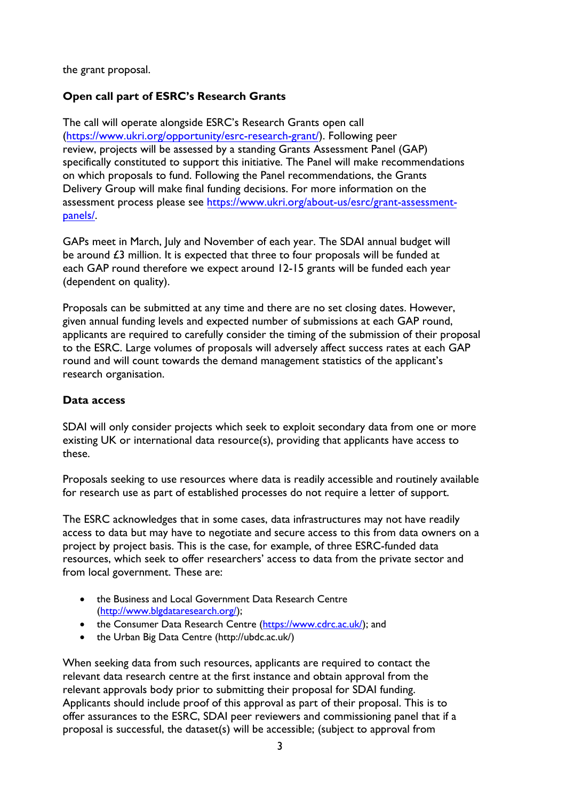the grant proposal.

## <span id="page-2-0"></span>**Open call part of ESRC's Research Grants**

The call will operate alongside ESRC's Research Grants open call ([https://www.ukri.org/opportunity/esrc-research-grant/](https://esrc.ukri.org/funding/funding-opportunities/research-grants/)). Following peer review, projects will be assessed by a standing Grants Assessment Panel (GAP) specifically constituted to support this initiative. The Panel will make recommendations on which proposals to fund. Following the Panel recommendations, the Grants Delivery Group will make final funding decisions. For more information on the assessment process please see [https://www.ukri.org/about-us/esrc/grant-assessment](https://esrc.ukri.org/about-us/governance-and-structure/advisory-committees/research-committee/responsive-mode-grant-assessment-process/)[panels/](https://esrc.ukri.org/about-us/governance-and-structure/advisory-committees/research-committee/responsive-mode-grant-assessment-process/).

GAPs meet in March, July and November of each year. The SDAI annual budget will be around £3 million. It is expected that three to four proposals will be funded at each GAP round therefore we expect around 12-15 grants will be funded each year (dependent on quality).

Proposals can be submitted at any time and there are no set closing dates. However, given annual funding levels and expected number of submissions at each GAP round, applicants are required to carefully consider the timing of the submission of their proposal to the ESRC. Large volumes of proposals will adversely affect success rates at each GAP round and will count towards the demand management statistics of the applicant's research organisation.

#### <span id="page-2-1"></span>**Data access**

SDAI will only consider projects which seek to exploit secondary data from one or more existing UK or international data resource(s), providing that applicants have access to these.

Proposals seeking to use resources where data is readily accessible and routinely available for research use as part of established processes do not require a letter of support.

The ESRC acknowledges that in some cases, data infrastructures may not have readily access to data but may have to negotiate and secure access to this from data owners on a project by project basis. This is the case, for example, of three ESRC-funded data resources, which seek to offer researchers' access to data from the private sector and from local government. These are:

- the Business and Local Government Data Research Centre [\(http://www.blgdataresearch.org/\)](http://www.blgdataresearch.org/);
- the Consumer Data Research Centre [\(https://www.cdrc.ac.uk/\)](https://www.cdrc.ac.uk/); and
- the Urban Big Data Centre [\(http://ubdc.ac.uk/\)](http://ubdc.ac.uk/)

When seeking data from such resources, applicants are required to contact the relevant data research centre at the first instance and obtain approval from the relevant approvals body prior to submitting their proposal for SDAI funding. Applicants should include proof of this approval as part of their proposal. This is to offer assurances to the ESRC, SDAI peer reviewers and commissioning panel that if a proposal is successful, the dataset(s) will be accessible; (subject to approval from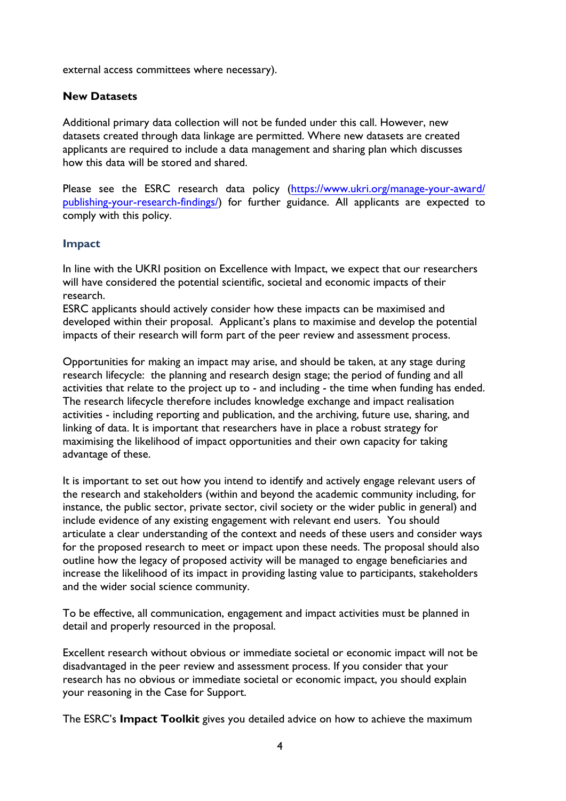external access committees where necessary).

## <span id="page-3-0"></span>**New Datasets**

Additional primary data collection will not be funded under this call. However, new datasets created through data linkage are permitted. Where new datasets are created applicants are required to include a data management and sharing plan which discusses how this data will be stored and shared.

Please see the ESRC research data policy ([https://www.ukri.org/manage-your-award/](https://esrc.ukri.org/funding/guidance-for-grant-holders/research-data-policy/) [publishing-your-research-findi](https://esrc.ukri.org/funding/guidance-for-grant-holders/research-data-policy/)ngs/) for further guidance. All applicants are expected to comply with this policy.

#### **Impact**

In line with the UKRI position on Excellence with Impact, we expect that our researchers will have considered the potential scientific, societal and economic impacts of their research.

ESRC applicants should actively consider how these impacts can be maximised and developed within their proposal. Applicant's plans to maximise and develop the potential impacts of their research will form part of the peer review and assessment process.

Opportunities for making an impact may arise, and should be taken, at any stage during research lifecycle: the planning and research design stage; the period of funding and all activities that relate to the project up to - and including - the time when funding has ended. The research lifecycle therefore includes knowledge exchange and impact realisation activities - including reporting and publication, and the archiving, future use, sharing, and linking of data. It is important that researchers have in place a robust strategy for maximising the likelihood of impact opportunities and their own capacity for taking advantage of these.

It is important to set out how you intend to identify and actively engage relevant users of the research and stakeholders (within and beyond the academic community including, for instance, the public sector, private sector, civil society or the wider public in general) and include evidence of any existing engagement with relevant end users. You should articulate a clear understanding of the context and needs of these users and consider ways for the proposed research to meet or impact upon these needs. The proposal should also outline how the legacy of proposed activity will be managed to engage beneficiaries and increase the likelihood of its impact in providing lasting value to participants, stakeholders and the wider social science community.

To be effective, all communication, engagement and impact activities must be planned in detail and properly resourced in the proposal.

Excellent research without obvious or immediate societal or economic impact will not be disadvantaged in the peer review and assessment process. If you consider that your research has no obvious or immediate societal or economic impact, you should explain your reasoning in the Case for Support.

The ESRC's **Impact Toolkit** gives you detailed advice on how to achieve the maximum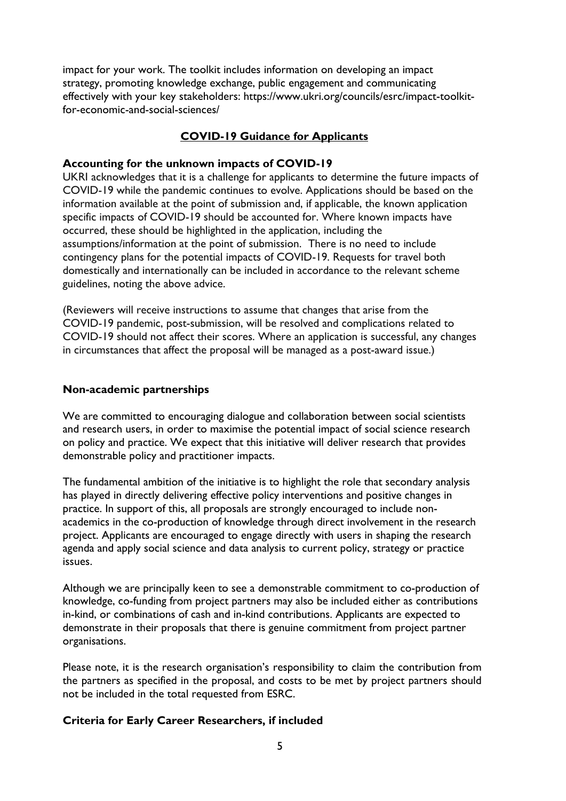impact for your work. The toolkit includes information on developing an impact strategy, promoting knowledge exchange, public engagement and communicating effectively with your key stakeholders: [https://www.ukri.org/councils/esrc/impact-toolkit](https://esrc.ukri.org/research/impact-toolkit/)for-economic-and-social-sciences/

## **COVID-19 Guidance for Applicants**

#### **Accounting for the unknown impacts of COVID-19**

UKRI acknowledges that it is a challenge for applicants to determine the future impacts of COVID-19 while the pandemic continues to evolve. Applications should be based on the information available at the point of submission and, if applicable, the known application specific impacts of COVID-19 should be accounted for. Where known impacts have occurred, these should be highlighted in the application, including the assumptions/information at the point of submission. There is no need to include contingency plans for the potential impacts of COVID-19. Requests for travel both domestically and internationally can be included in accordance to the relevant scheme guidelines, noting the above advice.

(Reviewers will receive instructions to assume that changes that arise from the COVID-19 pandemic, post-submission, will be resolved and complications related to COVID-19 should not affect their scores. Where an application is successful, any changes in circumstances that affect the proposal will be managed as a post-award issue.)

#### <span id="page-4-0"></span>**Non-academic partnerships**

We are committed to encouraging dialogue and collaboration between social scientists and research users, in order to maximise the potential impact of social science research on policy and practice. We expect that this initiative will deliver research that provides demonstrable policy and practitioner impacts.

The fundamental ambition of the initiative is to highlight the role that secondary analysis has played in directly delivering effective policy interventions and positive changes in practice. In support of this, all proposals are strongly encouraged to include nonacademics in the co-production of knowledge through direct involvement in the research project. Applicants are encouraged to engage directly with users in shaping the research agenda and apply social science and data analysis to current policy, strategy or practice issues.

Although we are principally keen to see a demonstrable commitment to co-production of knowledge, co-funding from project partners may also be included either as contributions in-kind, or combinations of cash and in-kind contributions. Applicants are expected to demonstrate in their proposals that there is genuine commitment from project partner organisations.

Please note, it is the research organisation's responsibility to claim the contribution from the partners as specified in the proposal, and costs to be met by project partners should not be included in the total requested from ESRC.

## <span id="page-4-1"></span>**Criteria for Early Career Researchers, if included**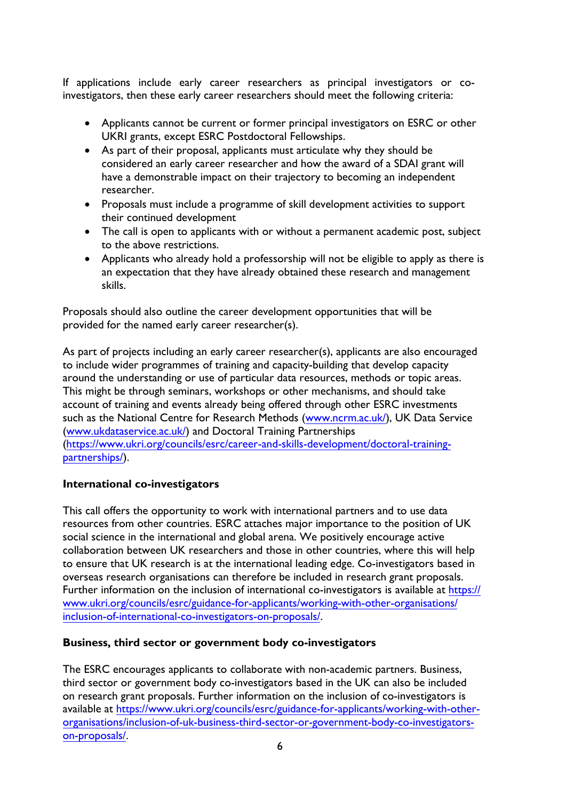If applications include early career researchers as principal investigators or coinvestigators, then these early career researchers should meet the following criteria:

- Applicants cannot be current or former principal investigators on ESRC or other UKRI grants, except ESRC Postdoctoral Fellowships.
- As part of their proposal, applicants must articulate why they should be considered an early career researcher and how the award of a SDAI grant will have a demonstrable impact on their trajectory to becoming an independent researcher.
- Proposals must include a programme of skill development activities to support their continued development
- The call is open to applicants with or without a permanent academic post, subject to the above restrictions.
- Applicants who already hold a professorship will not be eligible to apply as there is an expectation that they have already obtained these research and management skills.

Proposals should also outline the career development opportunities that will be provided for the named early career researcher(s).

As part of projects including an early career researcher(s), applicants are also encouraged to include wider programmes of training and capacity-building that develop capacity around the understanding or use of particular data resources, methods or topic areas. This might be through seminars, workshops or other mechanisms, and should take account of training and events already being offered through other ESRC investments such as the National Centre for Research Methods [\(www.ncrm.ac.uk/\),](http://www.ncrm.ac.uk/) UK Data Service [\(www.ukdataservice.ac.uk/\)](http://www.ukdataservice.ac.uk/) and Doctoral Training Partnerships ([https://www.ukri.org/councils/esrc/career-and-skills-development/doctoral-training](https://esrc.ukri.org/skills-and-careers/doctoral-training/doctoral-training-partnerships/)partnerships/).

## <span id="page-5-0"></span>**International co-investigators**

This call offers the opportunity to work with international partners and to use data resources from other countries. ESRC attaches major importance to the position of UK social science in the international and global arena. We positively encourage active collaboration between UK researchers and those in other countries, where this will help to ensure that UK research is at the international leading edge. Co-investigators based in overseas research organisations can therefore be included in research grant proposals. [Further information on the inclusion of international co-investigators is available at](https://esrc.ukri.org/funding/guidance-for-applicants/inclusion-of-international-co-investigators-on-proposals/) https:// [www.ukri.org/councils/esrc/](https://esrc.ukri.org/funding/guidance-for-applicants/inclusion-of-international-co-investigators-on-proposals/)guidance-for-applicants/working-with-other-organisations/ inclusion-of-international-co-investigators-on-proposals/.

## <span id="page-5-1"></span>**Business, third sector or government body co-investigators**

The ESRC encourages applicants to collaborate with non-academic partners. Business, third sector or government body co-investigators based in the UK can also be included on researc[h grant proposals. Further information on the inclusion of co](https://esrc.ukri.org/funding/guidance-for-applicants/inclusion-of-uk-business-third-sector-or-government-body-co-investigators-on-proposals/)-investigators is available at [https://www.ukri.org/councils/esrc/guidance-for-applica](https://esrc.ukri.org/funding/guidance-for-applicants/inclusion-of-uk-business-third-sector-or-government-body-co-investigators-on-proposals/)nts/working-with-otherorganisations/inclusion-of-uk-business-third-sector-or-government-body-co-investigatorson-proposals/.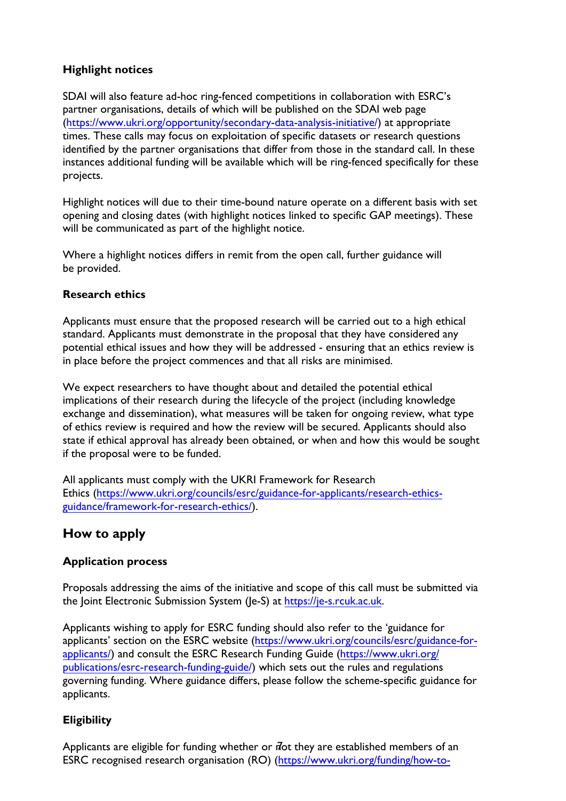## <span id="page-6-0"></span>**Highlight notices**

SDAI will also feature ad-hoc ring-fenced competitions in collaboration with ESRC's partner organisations, details of which will be published on the SDAI web page ([https://www.ukri.org/opportunity/secondary-data-analysis-initiative/](https://esrc.ukri.org/funding/funding-opportunities/secondary-data-analysis-initiative-sdai-open-call/)) at appropriate [times. The](https://esrc.ukri.org/funding/funding-opportunities/secondary-data-analysis-initiative-sdai-open-call/)se calls may focus on exploitation of specific datasets or research questions identified by the partner organisations that differ from those in the standard call. In these instances additional funding will be available which will be ring-fenced specifically for these projects.

Highlight notices will due to their time-bound nature operate on a different basis with set opening and closing dates (with highlight notices linked to specific GAP meetings). These will be communicated as part of the highlight notice.

Where a highlight notices differs in remit from the open call, further guidance will be provided.

## <span id="page-6-1"></span>**Research ethics**

Applicants must ensure that the proposed research will be carried out to a high ethical standard. Applicants must demonstrate in the proposal that they have considered any potential ethical issues and how they will be addressed - ensuring that an ethics review is in place before the project commences and that all risks are minimised.

We expect researchers to have thought about and detailed the potential ethical implications of their research during the lifecycle of the project (including knowledge exchange and dissemination), what measures will be taken for ongoing review, what type of ethics review is required and how the review will be secured. Applicants should also state if ethical approval has already been obtained, or when and how this would be sought if the proposal were to be funded.

All applicants must comply with the UKRI Framework for Research Ethics ([https://www.ukri.org/councils/esrc/guidance-for-applicants/research-ethics](https://esrc.ukri.org/researchethics)guidance/framework-for-research-ethics/).

## <span id="page-6-3"></span><span id="page-6-2"></span>**How to apply**

## **Application process**

Proposals addressing the aims of the initiative a[nd scope of this call mu](https://je-s.rcuk.ac.uk/JeS2WebLoginSite/Login.aspx)st be submitted via the Joint Electronic Submission System (Je-S) at https://je-s.rcuk.ac.uk.

Applicants wishing to apply for ESRC fun[ding should also refer to the 'guidance for](https://esrc.ukri.org/funding-and-guidance/applicants/)  [applicants' section o](https://esrc.ukri.org/funding-and-guidance/applicants/)n the ESRC website (https://www.ukri.org/councils/esrc/guidance-forapplicants/[\) and consult the ESRC Research Funding Guide \(](https://esrc.ukri.org/funding/guidance-for-applicants/research-funding-guide/)https://www.ukri.org/ publications/esrc-research-funding-guide/) which sets out the rules and regulations governing funding. Where guidance differs, please follow the scheme-specific guidance for applicants.

## <span id="page-6-4"></span>**Eligibility**

Applicants are eligible for funding whether or not they are established members of an ESRC recognised research organisation (RO) (https://www.ukri.org/funding/how-to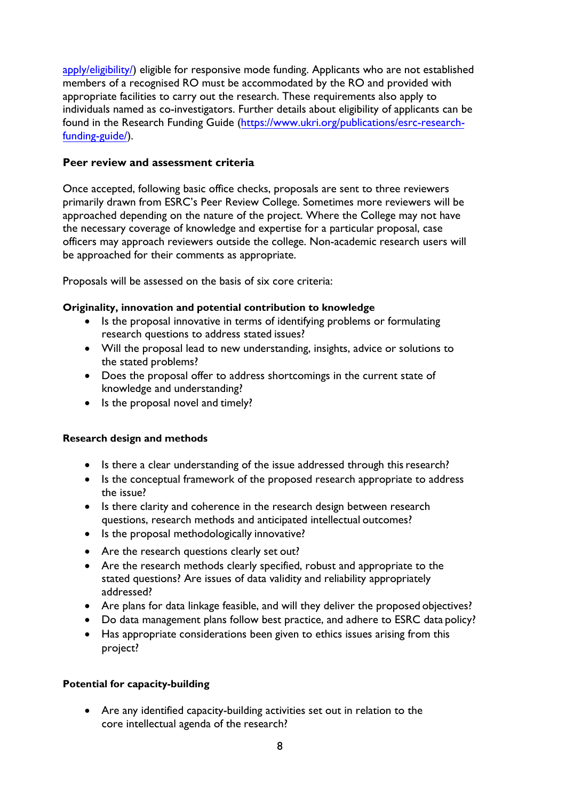[apply/eligibility/\)](https://www.ukri.org/funding/how-to-apply/eligibility/) eligible for responsive mode funding. Applicants who are not established members of a recognised RO must be accommodated by the RO and provided with appropriate facilities to carry out the research. These requirements also apply to individuals named as co-investigators. Further details about eligibility of applicants can be found in the Research Funding Guide ([https://www.ukri.org/publications/esrc-research](https://esrc.ukri.org/rfg)funding-guide/).

#### <span id="page-7-0"></span>**Peer review and assessment criteria**

Once accepted, following basic office checks, proposals are sent to three reviewers primarily drawn from ESRC's Peer Review College. Sometimes more reviewers will be approached depending on the nature of the project. Where the College may not have the necessary coverage of knowledge and expertise for a particular proposal, case officers may approach reviewers outside the college. Non-academic research users will be approached for their comments as appropriate.

Proposals will be assessed on the basis of six core criteria:

## **Originality, innovation and potential contribution to knowledge**

- Is the proposal innovative in terms of identifying problems or formulating research questions to address stated issues?
- Will the proposal lead to new understanding, insights, advice or solutions to the stated problems?
- Does the proposal offer to address shortcomings in the current state of knowledge and understanding?
- Is the proposal novel and timely?

## **Research design and methods**

- Is there a clear understanding of the issue addressed through this research?
- Is the conceptual framework of the proposed research appropriate to address the issue?
- Is there clarity and coherence in the research design between research questions, research methods and anticipated intellectual outcomes?
- Is the proposal methodologically innovative?
- Are the research questions clearly set out?
- Are the research methods clearly specified, robust and appropriate to the stated questions? Are issues of data validity and reliability appropriately addressed?
- Are plans for data linkage feasible, and will they deliver the proposed objectives?
- Do data management plans follow best practice, and adhere to ESRC data policy?
- Has appropriate considerations been given to ethics issues arising from this project?

## **Potential for capacity-building**

• Are any identified capacity-building activities set out in relation to the core intellectual agenda of the research?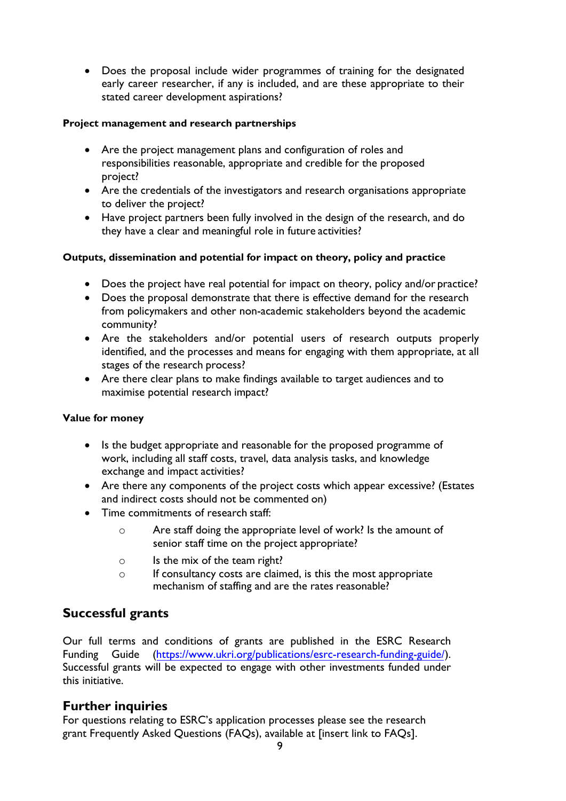• Does the proposal include wider programmes of training for the designated early career researcher, if any is included, and are these appropriate to their stated career development aspirations?

#### **Project management and research partnerships**

- Are the project management plans and configuration of roles and responsibilities reasonable, appropriate and credible for the proposed project?
- Are the credentials of the investigators and research organisations appropriate to deliver the project?
- Have project partners been fully involved in the design of the research, and do they have a clear and meaningful role in future activities?

## **Outputs, dissemination and potential for impact on theory, policy and practice**

- Does the project have real potential for impact on theory, policy and/or practice?
- Does the proposal demonstrate that there is effective demand for the research from policymakers and other non-academic stakeholders beyond the academic community?
- Are the stakeholders and/or potential users of research outputs properly identified, and the processes and means for engaging with them appropriate, at all stages of the research process?
- Are there clear plans to make findings available to target audiences and to maximise potential research impact?

#### **Value for money**

- Is the budget appropriate and reasonable for the proposed programme of work, including all staff costs, travel, data analysis tasks, and knowledge exchange and impact activities?
- Are there any components of the project costs which appear excessive? (Estates and indirect costs should not be commented on)
- Time commitments of research staff:
	- o Are staff doing the appropriate level of work? Is the amount of senior staff time on the project appropriate?
	- $\circ$  Is the mix of the team right?
	- $\circ$  If consultancy costs are claimed, is this the most appropriate mechanism of staffing and are the rates reasonable?

## <span id="page-8-0"></span>**Successful grants**

Our full terms and conditions of grants are published in the ESRC Research Funding Guide ([https://www.ukri.org/publications/esrc-research-funding-guide/](https://esrc.ukri.org/rfg)). Successful grants will be expected to engage with other investments funded under this initiative.

## <span id="page-8-1"></span>**Further inquiries**

For questions relating to ESRC's application processes please see the research grant Frequently Asked Questions (FAQs), available at [insert link to FAQs].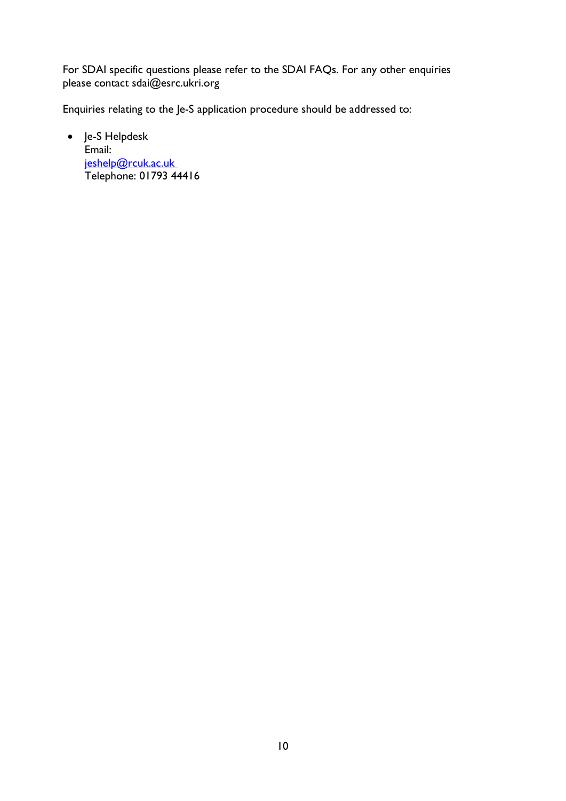For SDAI specific questions please refer to the SDAI FAQs. For any other enquiries please contact sdai@esrc.ukri.org

Enquiries relating to the Je-S application procedure should be addressed to:

• Je-S Helpdesk Email: [jeshelp@rcuk.ac.uk](https://je-s.rcuk.ac.uk/) Telephone: 01793 44416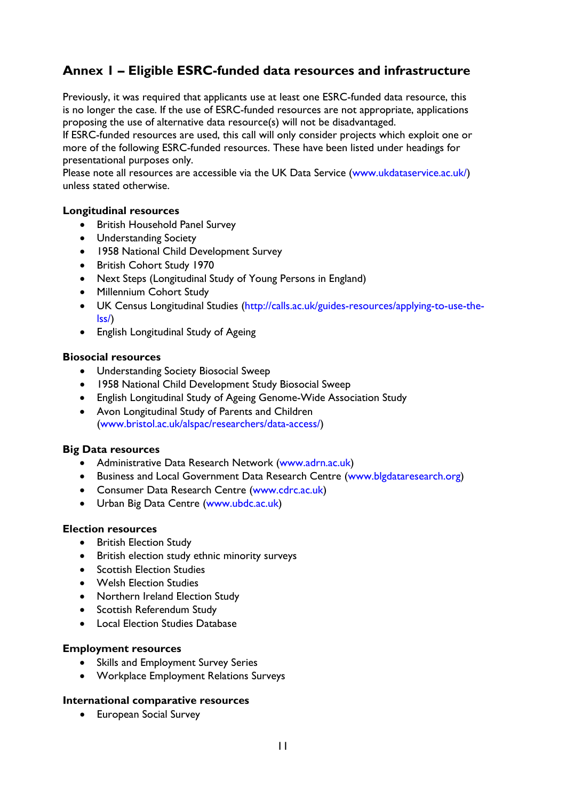## **Annex 1 – Eligible ESRC-funded data resources and infrastructure**

Previously, it was required that applicants use at least one ESRC-funded data resource, this is no longer the case. If the use of ESRC-funded resources are not appropriate, applications proposing the use of alternative data resource(s) will not be disadvantaged.

If ESRC-funded resources are used, this call will only consider projects which exploit one or more of the following ESRC-funded resources. These have been listed under headings for presentational purposes only.

Please note all resources are accessible via the UK Data Service (www.ukdataservice.ac.uk/) unless stated otherwise.

#### **Longitudinal resources**

- British Household Panel Survey
- Understanding Society
- 1958 National Child Development Survey
- British Cohort Study 1970
- Next Steps (Longitudinal Study of Young Persons in England)
- Millennium Cohort Study
- UK Census Longitudinal Studies (http://calls.ac.uk/guides-resources/applying-to-use-thelss/)
- English Longitudinal Study of Ageing

#### **Biosocial resources**

- Understanding Society Biosocial Sweep
- 1958 National Child Development Study Biosocial Sweep
- English Longitudinal Study of Ageing Genome-Wide Association Study
- Avon Longitudinal Study of Parents and Children (www.bristol.ac.uk/alspac/researchers/data-access/)

#### **Big Data resources**

- Administrative Data Research Network (www.adrn.ac.uk)
- Business and Local Government Data Research Centre (www.blgdataresearch.org)
- Consumer Data Research Centre (www.cdrc.ac.uk)
- Urban Big Data Centre (www.ubdc.ac.uk)

#### **Election resources**

- British Election Study
- British election study ethnic minority surveys
- Scottish Election Studies
- Welsh Election Studies
- Northern Ireland Election Study
- Scottish Referendum Study
- Local Election Studies Database

#### **Employment resources**

- Skills and Employment Survey Series
- Workplace Employment Relations Surveys

#### **International comparative resources**

• European Social Survey